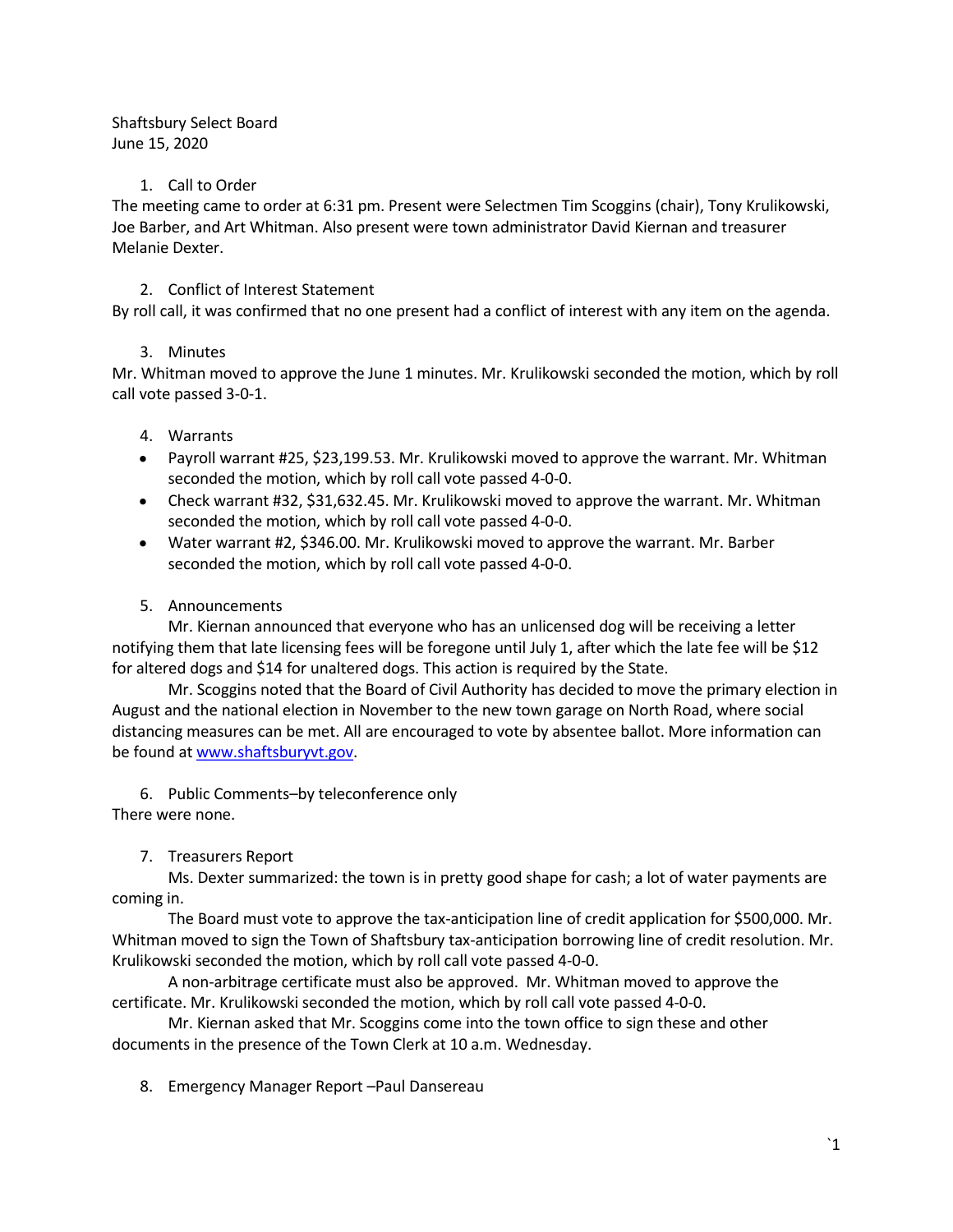Shaftsbury Select Board June 15, 2020

#### 1. Call to Order

The meeting came to order at 6:31 pm. Present were Selectmen Tim Scoggins (chair), Tony Krulikowski, Joe Barber, and Art Whitman. Also present were town administrator David Kiernan and treasurer Melanie Dexter.

## 2. Conflict of Interest Statement

By roll call, it was confirmed that no one present had a conflict of interest with any item on the agenda.

## 3. Minutes

Mr. Whitman moved to approve the June 1 minutes. Mr. Krulikowski seconded the motion, which by roll call vote passed 3-0-1.

## 4. Warrants

- Payroll warrant #25, \$23,199.53. Mr. Krulikowski moved to approve the warrant. Mr. Whitman seconded the motion, which by roll call vote passed 4-0-0.
- Check warrant #32, \$31,632.45. Mr. Krulikowski moved to approve the warrant. Mr. Whitman seconded the motion, which by roll call vote passed 4-0-0.
- Water warrant #2, \$346.00. Mr. Krulikowski moved to approve the warrant. Mr. Barber seconded the motion, which by roll call vote passed 4-0-0.

## 5. Announcements

Mr. Kiernan announced that everyone who has an unlicensed dog will be receiving a letter notifying them that late licensing fees will be foregone until July 1, after which the late fee will be \$12 for altered dogs and \$14 for unaltered dogs. This action is required by the State.

Mr. Scoggins noted that the Board of Civil Authority has decided to move the primary election in August and the national election in November to the new town garage on North Road, where social distancing measures can be met. All are encouraged to vote by absentee ballot. More information can be found at [www.shaftsburyvt.gov.](http://www.shaftsburyvt.gov/)

6. Public Comments–by teleconference only There were none.

7. Treasurers Report

Ms. Dexter summarized: the town is in pretty good shape for cash; a lot of water payments are coming in.

The Board must vote to approve the tax-anticipation line of credit application for \$500,000. Mr. Whitman moved to sign the Town of Shaftsbury tax-anticipation borrowing line of credit resolution. Mr. Krulikowski seconded the motion, which by roll call vote passed 4-0-0.

A non-arbitrage certificate must also be approved. Mr. Whitman moved to approve the certificate. Mr. Krulikowski seconded the motion, which by roll call vote passed 4-0-0.

Mr. Kiernan asked that Mr. Scoggins come into the town office to sign these and other documents in the presence of the Town Clerk at 10 a.m. Wednesday.

8. Emergency Manager Report –Paul Dansereau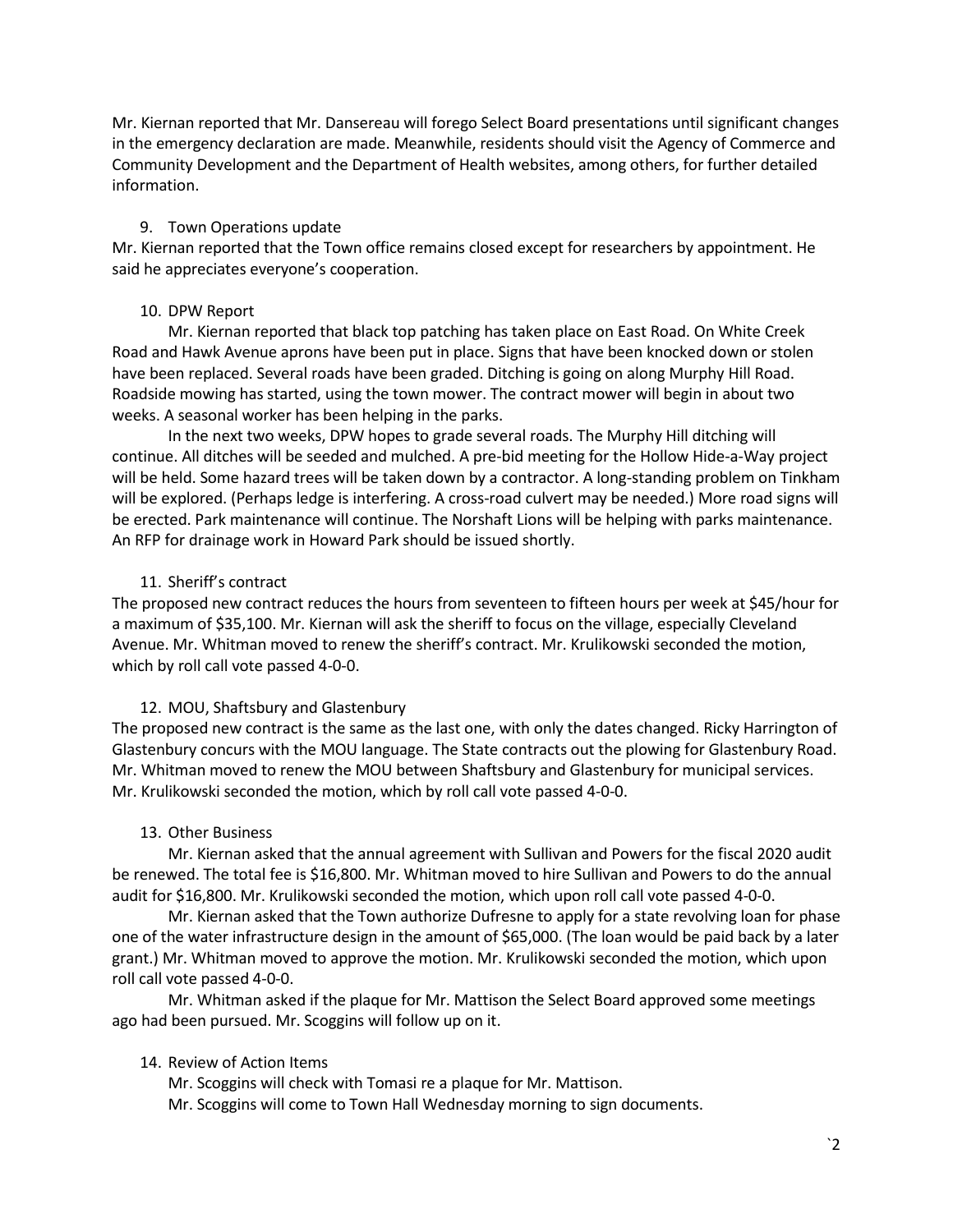Mr. Kiernan reported that Mr. Dansereau will forego Select Board presentations until significant changes in the emergency declaration are made. Meanwhile, residents should visit the Agency of Commerce and Community Development and the Department of Health websites, among others, for further detailed information.

### 9. Town Operations update

Mr. Kiernan reported that the Town office remains closed except for researchers by appointment. He said he appreciates everyone's cooperation.

### 10. DPW Report

Mr. Kiernan reported that black top patching has taken place on East Road. On White Creek Road and Hawk Avenue aprons have been put in place. Signs that have been knocked down or stolen have been replaced. Several roads have been graded. Ditching is going on along Murphy Hill Road. Roadside mowing has started, using the town mower. The contract mower will begin in about two weeks. A seasonal worker has been helping in the parks.

In the next two weeks, DPW hopes to grade several roads. The Murphy Hill ditching will continue. All ditches will be seeded and mulched. A pre-bid meeting for the Hollow Hide-a-Way project will be held. Some hazard trees will be taken down by a contractor. A long-standing problem on Tinkham will be explored. (Perhaps ledge is interfering. A cross-road culvert may be needed.) More road signs will be erected. Park maintenance will continue. The Norshaft Lions will be helping with parks maintenance. An RFP for drainage work in Howard Park should be issued shortly.

# 11. Sheriff's contract

The proposed new contract reduces the hours from seventeen to fifteen hours per week at \$45/hour for a maximum of \$35,100. Mr. Kiernan will ask the sheriff to focus on the village, especially Cleveland Avenue. Mr. Whitman moved to renew the sheriff's contract. Mr. Krulikowski seconded the motion, which by roll call vote passed 4-0-0.

#### 12. MOU, Shaftsbury and Glastenbury

The proposed new contract is the same as the last one, with only the dates changed. Ricky Harrington of Glastenbury concurs with the MOU language. The State contracts out the plowing for Glastenbury Road. Mr. Whitman moved to renew the MOU between Shaftsbury and Glastenbury for municipal services. Mr. Krulikowski seconded the motion, which by roll call vote passed 4-0-0.

#### 13. Other Business

Mr. Kiernan asked that the annual agreement with Sullivan and Powers for the fiscal 2020 audit be renewed. The total fee is \$16,800. Mr. Whitman moved to hire Sullivan and Powers to do the annual audit for \$16,800. Mr. Krulikowski seconded the motion, which upon roll call vote passed 4-0-0.

Mr. Kiernan asked that the Town authorize Dufresne to apply for a state revolving loan for phase one of the water infrastructure design in the amount of \$65,000. (The loan would be paid back by a later grant.) Mr. Whitman moved to approve the motion. Mr. Krulikowski seconded the motion, which upon roll call vote passed 4-0-0.

Mr. Whitman asked if the plaque for Mr. Mattison the Select Board approved some meetings ago had been pursued. Mr. Scoggins will follow up on it.

#### 14. Review of Action Items

Mr. Scoggins will check with Tomasi re a plaque for Mr. Mattison.

Mr. Scoggins will come to Town Hall Wednesday morning to sign documents.